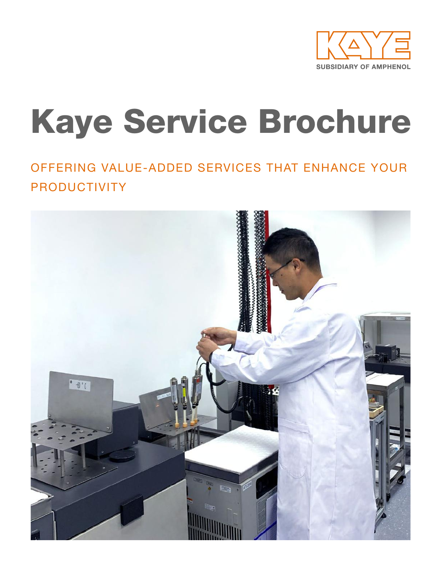

# Kaye Service Brochure

### OFFERING VALUE-ADDED SERVICES THAT ENHANCE YOUR PRODUCTIVITY

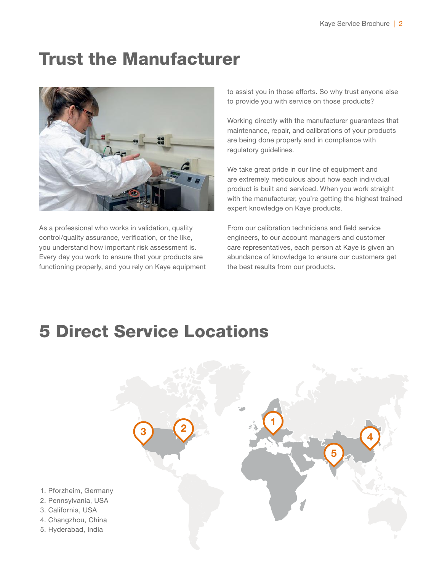### Trust the Manufacturer



As a professional who works in validation, quality control/quality assurance, verification, or the like, you understand how important risk assessment is. Every day you work to ensure that your products are functioning properly, and you rely on Kaye equipment to assist you in those efforts. So why trust anyone else to provide you with service on those products?

Working directly with the manufacturer guarantees that maintenance, repair, and calibrations of your products are being done properly and in compliance with regulatory guidelines.

We take great pride in our line of equipment and are extremely meticulous about how each individual product is built and serviced. When you work straight with the manufacturer, you're getting the highest trained expert knowledge on Kaye products.

From our calibration technicians and field service engineers, to our account managers and customer care representatives, each person at Kaye is given an abundance of knowledge to ensure our customers get the best results from our products.

### 5 Direct Service Locations

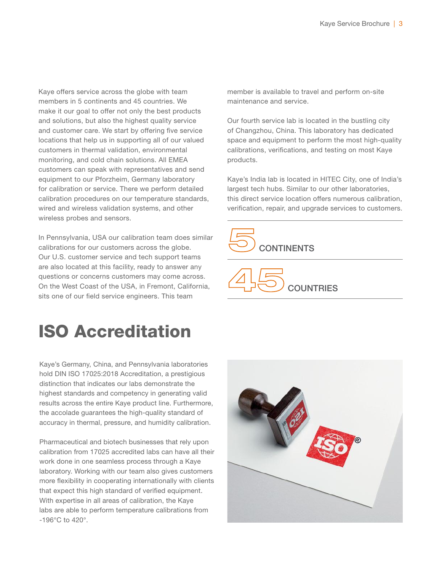Kaye offers service across the globe with team members in 5 continents and 45 countries. We make it our goal to offer not only the best products and solutions, but also the highest quality service and customer care. We start by offering five service locations that help us in supporting all of our valued customers in thermal validation, environmental monitoring, and cold chain solutions. All EMEA customers can speak with representatives and send equipment to our Pforzheim, Germany laboratory for calibration or service. There we perform detailed calibration procedures on our temperature standards, wired and wireless validation systems, and other wireless probes and sensors.

In Pennsylvania, USA our calibration team does similar calibrations for our customers across the globe. Our U.S. customer service and tech support teams are also located at this facility, ready to answer any questions or concerns customers may come across. On the West Coast of the USA, in Fremont, California, sits one of our field service engineers. This team

# ISO Accreditation

Kaye's Germany, China, and Pennsylvania laboratories hold DIN ISO 17025:2018 Accreditation, a prestigious distinction that indicates our labs demonstrate the highest standards and competency in generating valid results across the entire Kaye product line. Furthermore, the accolade guarantees the high-quality standard of accuracy in thermal, pressure, and humidity calibration.

Pharmaceutical and biotech businesses that rely upon calibration from 17025 accredited labs can have all their work done in one seamless process through a Kaye laboratory. Working with our team also gives customers more flexibility in cooperating internationally with clients that expect this high standard of verified equipment. With expertise in all areas of calibration, the Kaye labs are able to perform temperature calibrations from -196°C to 420°.

member is available to travel and perform on-site maintenance and service.

Our fourth service lab is located in the bustling city of Changzhou, China. This laboratory has dedicated space and equipment to perform the most high-quality calibrations, verifications, and testing on most Kaye products.

Kaye's India lab is located in HITEC City, one of India's largest tech hubs. Similar to our other laboratories, this direct service location offers numerous calibration, verification, repair, and upgrade services to customers.





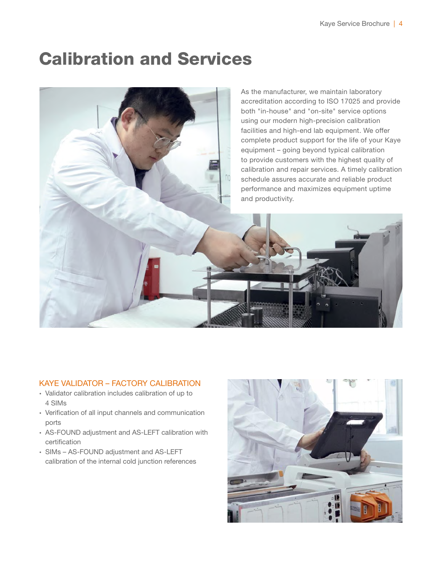### Calibration and Services



#### KAYE VALIDATOR – FACTORY CALIBRATION

- ∙ Validator calibration includes calibration of up to 4 SIMs
- ∙ Verification of all input channels and communication ports
- ∙ AS-FOUND adjustment and AS-LEFT calibration with certification
- ∙ SIMs AS-FOUND adjustment and AS-LEFT calibration of the internal cold junction references

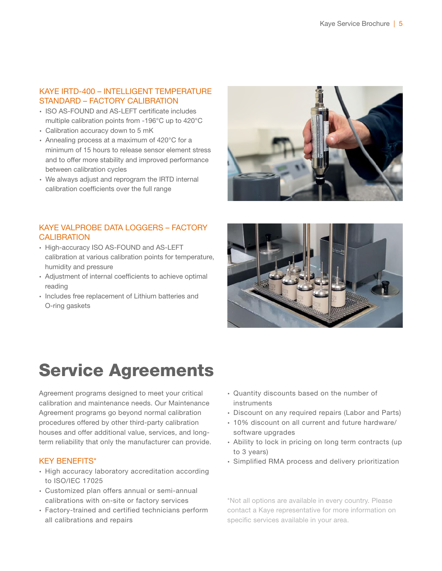#### KAYE IRTD-400 – INTELLIGENT TEMPERATURE STANDARD – FACTORY CALIBRATION

- ∙ ISO AS-FOUND and AS-LEFT certificate includes multiple calibration points from -196°C up to 420°C
- ∙ Calibration accuracy down to 5 mK
- ∙ Annealing process at a maximum of 420°C for a minimum of 15 hours to release sensor element stress and to offer more stability and improved performance between calibration cycles
- ∙ We always adjust and reprogram the IRTD internal calibration coefficients over the full range

#### KAYE VALPROBE DATA LOGGERS – FACTORY **CALIBRATION**

- ∙ High-accuracy ISO AS-FOUND and AS-LEFT calibration at various calibration points for temperature, humidity and pressure
- ∙ Adjustment of internal coefficients to achieve optimal reading
- ∙ Includes free replacement of Lithium batteries and O-ring gaskets





## Service Agreements

Agreement programs designed to meet your critical calibration and maintenance needs. Our Maintenance Agreement programs go beyond normal calibration procedures offered by other third-party calibration houses and offer additional value, services, and longterm reliability that only the manufacturer can provide.

#### KEY BENEFITS\*

- ∙ High accuracy laboratory accreditation according to ISO/IEC 17025
- ∙ Customized plan offers annual or semi-annual calibrations with on-site or factory services
- ∙ Factory-trained and certified technicians perform all calibrations and repairs
- ∙ Quantity discounts based on the number of instruments
- ∙ Discount on any required repairs (Labor and Parts)
- ∙ 10% discount on all current and future hardware/ software upgrades
- ∙ Ability to lock in pricing on long term contracts (up to 3 years)
- ∙ Simplified RMA process and delivery prioritization

\*Not all options are available in every country. Please contact a Kaye representative for more information on specific services available in your area.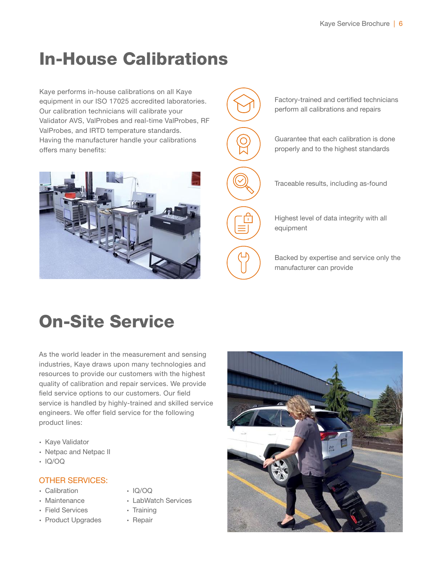# In-House Calibrations

Kaye performs in-house calibrations on all Kaye equipment in our ISO 17025 accredited laboratories. Our calibration technicians will calibrate your Validator AVS, ValProbes and real-time ValProbes, RF ValProbes, and IRTD temperature standards. Having the manufacturer handle your calibrations offers many benefits:





# On-Site Service

As the world leader in the measurement and sensing industries, Kaye draws upon many technologies and resources to provide our customers with the highest quality of calibration and repair services. We provide field service options to our customers. Our field service is handled by highly-trained and skilled service engineers. We offer field service for the following product lines:

- ∙ Kaye Validator
- ∙ Netpac and Netpac II
- ∙ IQ/OQ

#### OTHER SERVICES:

- ∙ Calibration
- ∙ Maintenance
- ∙ Field Services
- ∙ Product Upgrades
- ∙ IQ/OQ
- ∙ LabWatch Services
- ∙ Training
- ∙ Repair

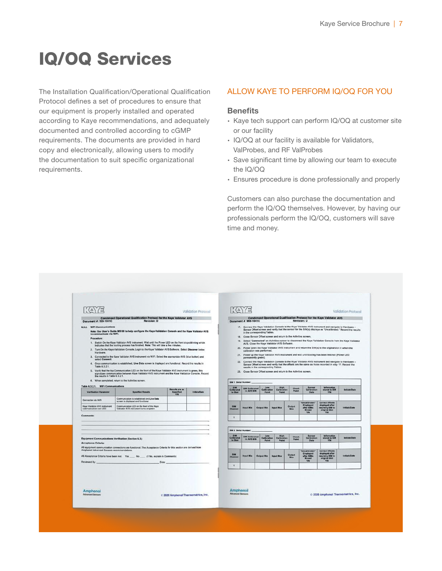# IQ/OQ Services

The Installation Qualification/Operational Qualification Protocol defines a set of procedures to ensure that our equipment is properly installed and operated according to Kaye recommendations, and adequately documented and controlled according to cGMP requirements. The documents are provided in hard copy and electronically, allowing users to modify the documentation to suit specific organizational requirements.

#### ALLOW KAYE TO PERFORM IQ/OQ FOR YOU

#### **Benefits**

- ∙ Kaye tech support can perform IQ/OQ at customer site or our facility
- ∙ IQ/OQ at our facility is available for Validators, ValProbes, and RF ValProbes
- ∙ Save significant time by allowing our team to execute the IQ/OQ
- ∙ Ensures procedure is done professionally and properly

Customers can also purchase the documentation and perform the IQ/OQ themselves. However, by having our professionals perform the IQ/OQ, customers will save time and money.

| $\langle \Delta \rangle / \Box$                                                                                                                        |                                                                                                                                                                                                                                                                                                                                                                                                                                                                                                                                                                                                                                                                                                                                                                                                                                                                        |                                    | Validation Protocol                 |                                     | $\langle \Delta \rangle / \Xi$                               |                                                                                                                                                                                                                                                                                                 |                                            |                       |                                                    |                                                                                                                                                                                                                                                                                                                                                                                                                                                                                                                                                                                                                                                                                                                                                                                  | <b>Validation Protocol</b> |
|--------------------------------------------------------------------------------------------------------------------------------------------------------|------------------------------------------------------------------------------------------------------------------------------------------------------------------------------------------------------------------------------------------------------------------------------------------------------------------------------------------------------------------------------------------------------------------------------------------------------------------------------------------------------------------------------------------------------------------------------------------------------------------------------------------------------------------------------------------------------------------------------------------------------------------------------------------------------------------------------------------------------------------------|------------------------------------|-------------------------------------|-------------------------------------|--------------------------------------------------------------|-------------------------------------------------------------------------------------------------------------------------------------------------------------------------------------------------------------------------------------------------------------------------------------------------|--------------------------------------------|-----------------------|----------------------------------------------------|----------------------------------------------------------------------------------------------------------------------------------------------------------------------------------------------------------------------------------------------------------------------------------------------------------------------------------------------------------------------------------------------------------------------------------------------------------------------------------------------------------------------------------------------------------------------------------------------------------------------------------------------------------------------------------------------------------------------------------------------------------------------------------|----------------------------|
| Document #: 959-1041C                                                                                                                                  | Condensed Operational Qualification Protocol for the Kaye Validator AVS<br><b>Revision: D</b>                                                                                                                                                                                                                                                                                                                                                                                                                                                                                                                                                                                                                                                                                                                                                                          |                                    |                                     |                                     | Document #: 959-1041C                                        |                                                                                                                                                                                                                                                                                                 |                                            |                       | Revision: D                                        | Condensed Operational Qualification Protocol for the Kave Validator AVS                                                                                                                                                                                                                                                                                                                                                                                                                                                                                                                                                                                                                                                                                                          |                            |
| 6.3.2. WiFi Communications<br>to communicate via WIFL<br>Procedure:<br>Hardware.<br>select Connect.<br>Table 6.3.2.1.<br>the results in Table 6.3.2.1. | Note: See User's Guide M5100 to help configure the Kaye Validation Console and the Kaye Validator AVS<br>1. Switch On the Kaye Validator AVS instrument. Wait until the Power LED on the front stops blinking which<br>indicates that the booting process has finished. Note: This will take a few minutes.<br>2. Turn On the Kaye Validation Console, Login to the Kaye Validator AVS Software. Select Discover below<br>3. Connected to the Kaye Validator AVS instrument via WiFi. Select the appropriate AVS (blue button) and<br>4. Once communication is established, Live Data screen is displayed and functional. Record the results in<br>5. Verify that the top Communication LED on the front of the Keye Validator AVS instrument is green, this<br>signalizes communication between Kaye Validator AVS instrument and the Kaye Validation Console. Record |                                    |                                     |                                     | permanently green).                                          | in the corresponding Tables.<br>18. Close Sensor Offset screen and return to the Activities screen.<br>AVS. Close the Kaye Validator AVS Software.<br>calibration was performed.<br>results in the corresponding Tables.<br>23. Close Sensor Offset screen and return to the Activities screen. |                                            |                       |                                                    | 17. Connect the Kaye Validation Console to the Knye Validator AVS instrument and navigate to Hardware -<br>Sensor Offset screen and verify that the sensor for the SIM(s) displays as "Uncalibrated." Record the results<br>19. Select "Connected" on Activities screen to disconnect the Kaye Validation Console from the Kaye Validator<br>20. Power down the Kaye Validator AVS instrument and return the S/M(s) to the original slot in which the<br>21. Power up the Kaye Validator AVS instrument and wait until booting has been finished (Power LED<br>22. Connect the Kaye Validation Console to the Kaye Validator AVS instrument and navigate to Hardware -<br>Sensor Offset screen and verify that the offsets are the same as those recorded in step 11. Record the |                            |
|                                                                                                                                                        | 6. When completed, return to the Activities screen.                                                                                                                                                                                                                                                                                                                                                                                                                                                                                                                                                                                                                                                                                                                                                                                                                    |                                    |                                     | <b>SIM 1 Serial Number:</b>         |                                                              |                                                                                                                                                                                                                                                                                                 |                                            |                       |                                                    |                                                                                                                                                                                                                                                                                                                                                                                                                                                                                                                                                                                                                                                                                                                                                                                  |                            |
| Table 6.3.2.1. WiFi Communications<br>Verification Parameter                                                                                           | <b>Soacified Results</b>                                                                                                                                                                                                                                                                                                                                                                                                                                                                                                                                                                                                                                                                                                                                                                                                                                               | Results are as<br>Specified<br>Y/N | Initials/Data                       | 5150<br>Calibrated<br>In Stot       | <b>SIM Californiad</b><br>In AVS S/N                         | Low<br><b>Calibration</b><br>Point                                                                                                                                                                                                                                                              | High<br>Calibration<br><b>Point</b>        | <b>Check</b><br>Point | Sensor<br><b>Calibration</b><br><b>Date</b>        | Information<br>stored in SIM<br><b>YIN</b>                                                                                                                                                                                                                                                                                                                                                                                                                                                                                                                                                                                                                                                                                                                                       | Initials/Date              |
| Connection via WiFi                                                                                                                                    | Communication is established and Live Data<br>screen is displayed and functional                                                                                                                                                                                                                                                                                                                                                                                                                                                                                                                                                                                                                                                                                                                                                                                       |                                    |                                     |                                     |                                                              |                                                                                                                                                                                                                                                                                                 |                                            |                       | "Uncalibrated"                                     | <b>Correct Offsets</b>                                                                                                                                                                                                                                                                                                                                                                                                                                                                                                                                                                                                                                                                                                                                                           |                            |
| Kaye Validator AVS instrument<br>communication icon LED                                                                                                | Communication LED on the front of the Kaye<br>Validator AVS instrument turns on/green.                                                                                                                                                                                                                                                                                                                                                                                                                                                                                                                                                                                                                                                                                                                                                                                 |                                    |                                     | SHA<br>Channel                      | Input Min                                                    | Output Min                                                                                                                                                                                                                                                                                      | Input Max                                  | Output<br>Max         | Displayed<br>after SIMs<br><b>Moved</b>            | displayed after<br>returning \$88 to<br>original \$1ot<br>Yav                                                                                                                                                                                                                                                                                                                                                                                                                                                                                                                                                                                                                                                                                                                    | Initials Cate              |
| <b>Comments:</b>                                                                                                                                       |                                                                                                                                                                                                                                                                                                                                                                                                                                                                                                                                                                                                                                                                                                                                                                                                                                                                        |                                    |                                     | H.                                  |                                                              |                                                                                                                                                                                                                                                                                                 |                                            |                       | <b>Y/N</b>                                         |                                                                                                                                                                                                                                                                                                                                                                                                                                                                                                                                                                                                                                                                                                                                                                                  |                            |
|                                                                                                                                                        |                                                                                                                                                                                                                                                                                                                                                                                                                                                                                                                                                                                                                                                                                                                                                                                                                                                                        |                                    |                                     |                                     | SIM 2 Serial Number:                                         |                                                                                                                                                                                                                                                                                                 |                                            |                       |                                                    |                                                                                                                                                                                                                                                                                                                                                                                                                                                                                                                                                                                                                                                                                                                                                                                  |                            |
|                                                                                                                                                        | Equipment Communications Verification (Section 6.3.)                                                                                                                                                                                                                                                                                                                                                                                                                                                                                                                                                                                                                                                                                                                                                                                                                   |                                    |                                     |                                     | <b>SIM Calibrated</b><br>Calibrated<br>In Stot<br>In AVS S/N | Low<br>Calibration<br><b>Polet</b>                                                                                                                                                                                                                                                              | <b>High</b><br>Calibration<br><b>Point</b> | Check<br>Point        | <b>Sensor</b><br>Calibration                       | Information<br>stored in SIM<br><b>YOU</b>                                                                                                                                                                                                                                                                                                                                                                                                                                                                                                                                                                                                                                                                                                                                       | Initiate/Date              |
| Acceptance Criteria:<br>Amphenol Advanced Sensors recommendations.                                                                                     | All equipment communication connections are functional. The Acceptance Criteria for this section are derived from                                                                                                                                                                                                                                                                                                                                                                                                                                                                                                                                                                                                                                                                                                                                                      |                                    |                                     |                                     |                                                              |                                                                                                                                                                                                                                                                                                 |                                            |                       |                                                    |                                                                                                                                                                                                                                                                                                                                                                                                                                                                                                                                                                                                                                                                                                                                                                                  |                            |
|                                                                                                                                                        | All Acceptance Criteria have been met. Yes __ No __ (if No, explain in Comments)                                                                                                                                                                                                                                                                                                                                                                                                                                                                                                                                                                                                                                                                                                                                                                                       |                                    |                                     |                                     |                                                              | Output Min                                                                                                                                                                                                                                                                                      | <b>Input Max</b>                           | Outout<br>Max         | "Uncalibrated"<br>Displayed<br>after SIMs<br>Moved | <b>Correct Offsets</b><br>displayed after<br>returning 3HM to<br>original Stot                                                                                                                                                                                                                                                                                                                                                                                                                                                                                                                                                                                                                                                                                                   | <b>Initials/Date</b>       |
| Reviewed By.                                                                                                                                           | Date:                                                                                                                                                                                                                                                                                                                                                                                                                                                                                                                                                                                                                                                                                                                                                                                                                                                                  |                                    |                                     | $\mathbf{I}$                        |                                                              |                                                                                                                                                                                                                                                                                                 |                                            |                       | <b>Y/N</b>                                         |                                                                                                                                                                                                                                                                                                                                                                                                                                                                                                                                                                                                                                                                                                                                                                                  |                            |
| Amphenol<br>Advanced Sensors                                                                                                                           |                                                                                                                                                                                                                                                                                                                                                                                                                                                                                                                                                                                                                                                                                                                                                                                                                                                                        |                                    | © 2020 Amphenol Thermometrics, Inc. | Amphenol<br><b>Advanced Sensors</b> |                                                              |                                                                                                                                                                                                                                                                                                 |                                            |                       |                                                    | 2020 Amphenol Thermometrics, Inc.                                                                                                                                                                                                                                                                                                                                                                                                                                                                                                                                                                                                                                                                                                                                                |                            |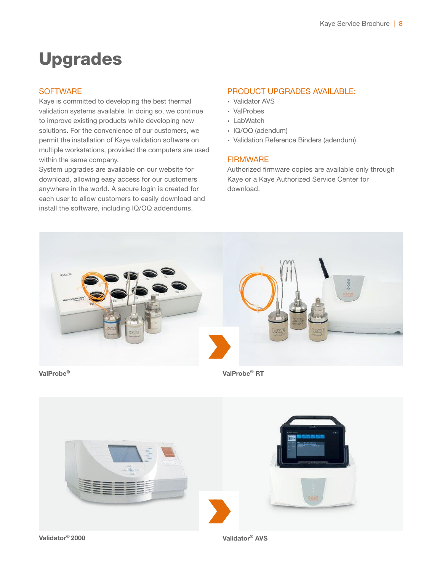### Upgrades

#### **SOFTWARE**

Kaye is committed to developing the best thermal validation systems available. In doing so, we continue to improve existing products while developing new solutions. For the convenience of our customers, we permit the installation of Kaye validation software on multiple workstations, provided the computers are used within the same company.

System upgrades are available on our website for download, allowing easy access for our customers anywhere in the world. A secure login is created for each user to allow customers to easily download and install the software, including IQ/OQ addendums.

#### PRODUCT UPGRADES AVAILABLE:

- ∙ Validator AVS
- ∙ ValProbes
- ∙ LabWatch
- ∙ IQ/OQ (adendum)
- ∙ Validation Reference Binders (adendum)

#### **FIRMWARE**

Authorized firmware copies are available only through Kaye or a Kaye Authorized Service Center for download.



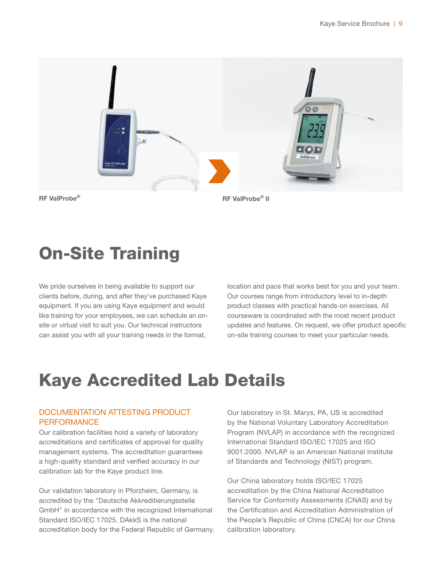

### On-Site Training

We pride ourselves in being available to support our clients before, during, and after they've purchased Kaye equipment. If you are using Kaye equipment and would like training for your employees, we can schedule an onsite or virtual visit to suit you. Our technical instructors can assist you with all your training needs in the format,

location and pace that works best for you and your team. Our courses range from introductory level to in-depth product classes with practical hands-on exercises. All courseware is coordinated with the most recent product updates and features. On request, we offer product specific on-site training courses to meet your particular needs.

# Kaye Accredited Lab Details

#### DOCUMENTATION ATTESTING PRODUCT **PERFORMANCE**

Our calibration facilities hold a variety of laboratory accreditations and certificates of approval for quality management systems. The accreditation guarantees a high-quality standard and verified accuracy in our calibration lab for the Kaye product line.

Our validation laboratory in Pforzheim, Germany, is accredited by the "Deutsche Akkreditierungsstelle GmbH" in accordance with the recognized International Standard ISO/IEC 17025. DAkkS is the national accreditation body for the Federal Republic of Germany. Our laboratory in St. Marys, PA, US is accredited by the National Voluntary Laboratory Accreditation Program (NVLAP) in accordance with the recognized International Standard ISO/IEC 17025 and ISO 9001:2000. NVLAP is an American National Institute of Standards and Technology (NIST) program.

Our China laboratory holds ISO/IEC 17025 accreditation by the China National Accreditation Service for Conformity Assessments (CNAS) and by the Certification and Accreditation Administration of the People's Republic of China (CNCA) for our China calibration laboratory.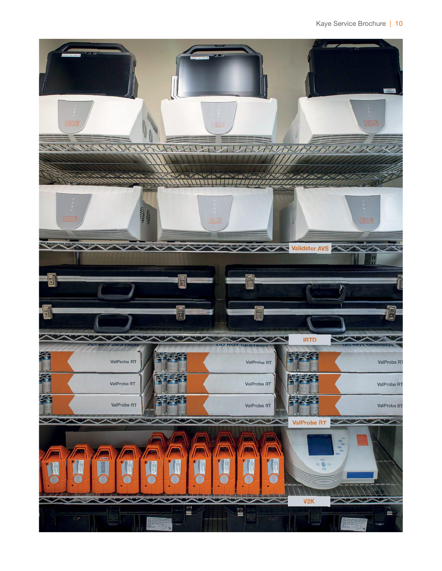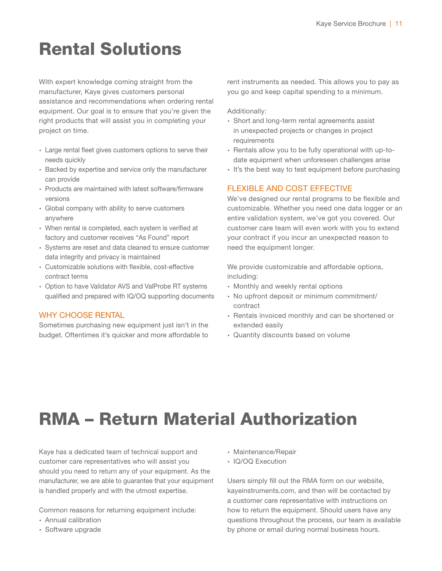# Rental Solutions

With expert knowledge coming straight from the manufacturer, Kaye gives customers personal assistance and recommendations when ordering rental equipment. Our goal is to ensure that you're given the right products that will assist you in completing your project on time.

- ∙ Large rental fleet gives customers options to serve their needs quickly
- ∙ Backed by expertise and service only the manufacturer can provide
- ∙ Products are maintained with latest software/firmware versions
- ∙ Global company with ability to serve customers anywhere
- ∙ When rental is completed, each system is verified at factory and customer receives "As Found" report
- ∙ Systems are reset and data cleaned to ensure customer data integrity and privacy is maintained
- ∙ Customizable solutions with flexible, cost-effective contract terms
- ∙ Option to have Validator AVS and ValProbe RT systems qualified and prepared with IQ/OQ supporting documents

#### WHY CHOOSE RENTAL

Sometimes purchasing new equipment just isn't in the budget. Oftentimes it's quicker and more affordable to

rent instruments as needed. This allows you to pay as you go and keep capital spending to a minimum.

Additionally:

- ∙ Short and long-term rental agreements assist in unexpected projects or changes in project requirements
- ∙ Rentals allow you to be fully operational with up-todate equipment when unforeseen challenges arise
- ∙ It's the best way to test equipment before purchasing

#### FLEXIBLE AND COST EFFECTIVE

We've designed our rental programs to be flexible and customizable. Whether you need one data logger or an entire validation system, we've got you covered. Our customer care team will even work with you to extend your contract if you incur an unexpected reason to need the equipment longer.

We provide customizable and affordable options, including:

- ∙ Monthly and weekly rental options
- ∙ No upfront deposit or minimum commitment/ contract
- ∙ Rentals invoiced monthly and can be shortened or extended easily
- ∙ Quantity discounts based on volume

# RMA – Return Material Authorization

Kaye has a dedicated team of technical support and customer care representatives who will assist you should you need to return any of your equipment. As the manufacturer, we are able to guarantee that your equipment is handled properly and with the utmost expertise.

Common reasons for returning equipment include:

- ∙ Annual calibration
- ∙ Software upgrade
- ∙ Maintenance/Repair
- ∙ IQ/OQ Execution

Users simply fill out the RMA form on our website, kayeinstruments.com, and then will be contacted by a customer care representative with instructions on how to return the equipment. Should users have any questions throughout the process, our team is available by phone or email during normal business hours.